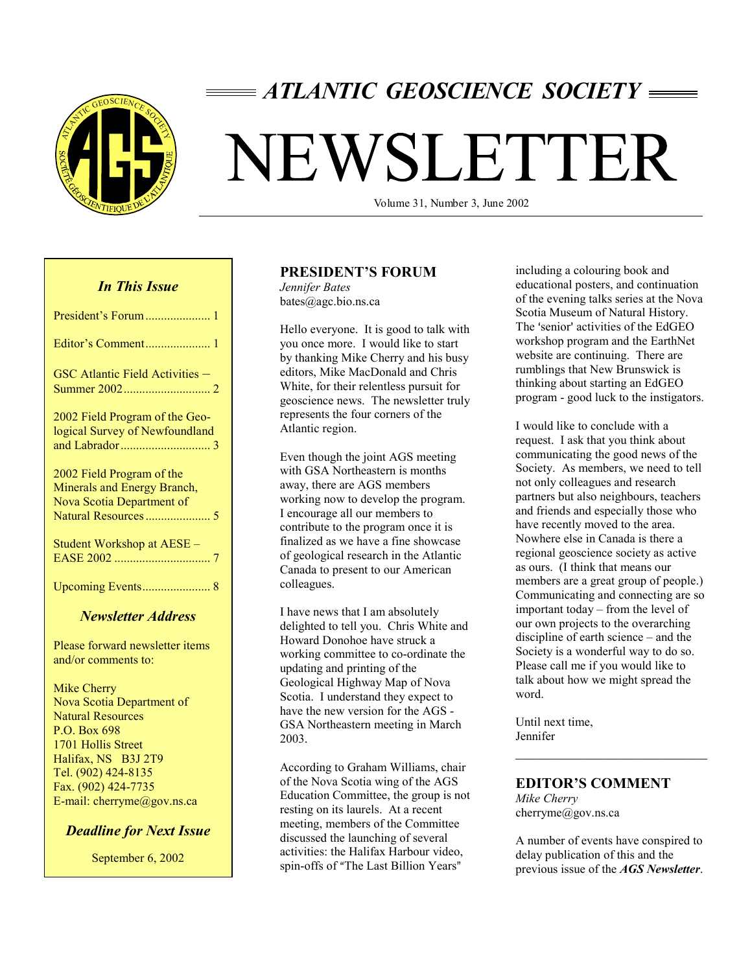

# *ATLANTIC GEOSCIENCE SOCIETY*

# NEWSLETTER

Volume 31, Number 3, June 2002

# *In This Issue*

| GSC Atlantic Field Activities -                                                       |
|---------------------------------------------------------------------------------------|
| 2002 Field Program of the Geo-<br>logical Survey of Newfoundland                      |
| 2002 Field Program of the<br>Minerals and Energy Branch,<br>Nova Scotia Department of |
| Student Workshop at AESE -                                                            |
|                                                                                       |

## *Newsletter Address*

Please forward newsletter items and/or comments to:

Mike Cherry Nova Scotia Department of Natural Resources P.O. Box 698 1701 Hollis Street Halifax, NS B3J 2T9 Tel. (902) 424-8135 Fax. (902) 424-7735 E-mail: cherryme@gov.ns.ca

## *Deadline for Next Issue*

September 6, 2002

#### **PRESIDENT'S FORUM**

*Jennifer Bates*  bates@agc.bio.ns.ca

Hello everyone. It is good to talk with you once more. I would like to start by thanking Mike Cherry and his busy editors, Mike MacDonald and Chris White, for their relentless pursuit for geoscience news. The newsletter truly represents the four corners of the Atlantic region.

Even though the joint AGS meeting with GSA Northeastern is months away, there are AGS members working now to develop the program. I encourage all our members to contribute to the program once it is finalized as we have a fine showcase of geological research in the Atlantic Canada to present to our American colleagues.

I have news that I am absolutely delighted to tell you. Chris White and Howard Donohoe have struck a working committee to co-ordinate the updating and printing of the Geological Highway Map of Nova Scotia. I understand they expect to have the new version for the AGS - GSA Northeastern meeting in March 2003.

According to Graham Williams, chair of the Nova Scotia wing of the AGS Education Committee, the group is not resting on its laurels. At a recent meeting, members of the Committee discussed the launching of several activities: the Halifax Harbour video, spin-offs of "The Last Billion Years"

including a colouring book and educational posters, and continuation of the evening talks series at the Nova Scotia Museum of Natural History. The 'senior' activities of the EdGEO workshop program and the EarthNet website are continuing. There are rumblings that New Brunswick is thinking about starting an EdGEO program - good luck to the instigators.

I would like to conclude with a request. I ask that you think about communicating the good news of the Society. As members, we need to tell not only colleagues and research partners but also neighbours, teachers and friends and especially those who have recently moved to the area. Nowhere else in Canada is there a regional geoscience society as active as ours. (I think that means our members are a great group of people.) Communicating and connecting are so important today – from the level of our own projects to the overarching discipline of earth science – and the Society is a wonderful way to do so. Please call me if you would like to talk about how we might spread the word.

Until next time, Jennifer

## **EDITOR'S COMMENT**

*Mike Cherry*  cherryme@gov.ns.ca

A number of events have conspired to delay publication of this and the previous issue of the *AGS Newsletter*.

 $\mathcal{L}_\text{max}$  , where  $\mathcal{L}_\text{max}$  and  $\mathcal{L}_\text{max}$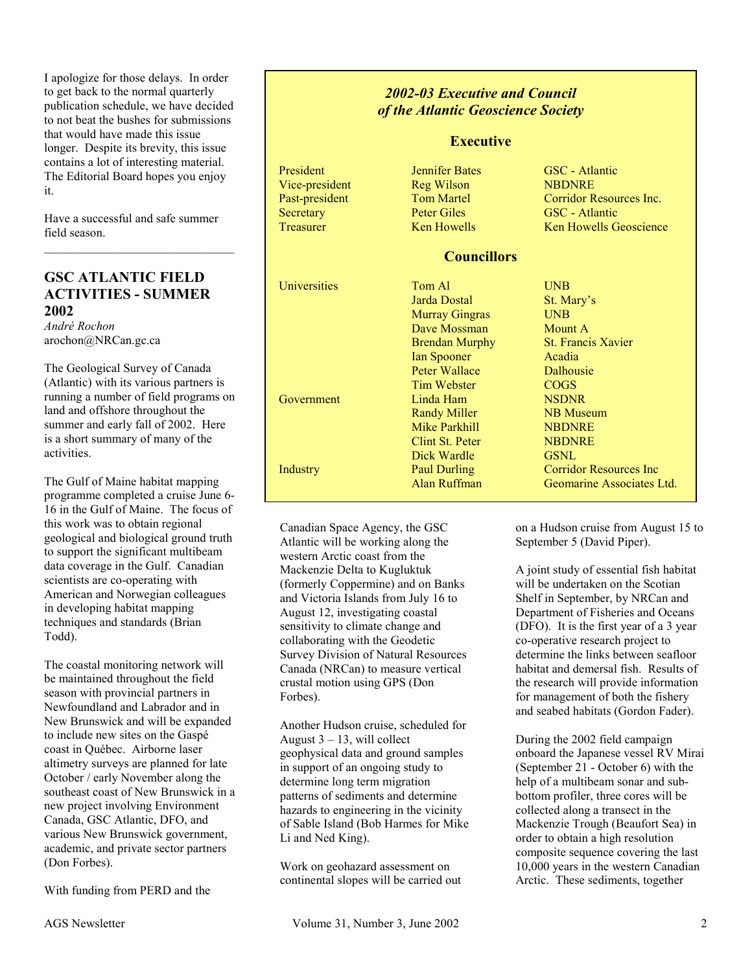I apologize for those delays. In order to get back to the normal quarterly publication schedule, we have decided to not beat the bushes for submissions that would have made this issue longer. Despite its brevity, this issue contains a lot of interesting material. The Editorial Board hopes you enjoy it.

Have a successful and safe summer field season.

# **GSC ATLANTIC FIELD ACTIVITIES - SUMMER 2002**

*André Rochon*  arochon@NRCan.gc.ca

The Geological Survey of Canada (Atlantic) with its various partners is running a number of field programs on land and offshore throughout the summer and early fall of 2002. Here is a short summary of many of the activities.

The Gulf of Maine habitat mapping programme completed a cruise June 6- 16 in the Gulf of Maine. The focus of this work was to obtain regional geological and biological ground truth to support the significant multibeam data coverage in the Gulf. Canadian scientists are co-operating with American and Norwegian colleagues in developing habitat mapping techniques and standards (Brian Todd).

The coastal monitoring network will be maintained throughout the field season with provincial partners in Newfoundland and Labrador and in New Brunswick and will be expanded to include new sites on the Gaspé coast in Québec. Airborne laser altimetry surveys are planned for late October / early November along the southeast coast of New Brunswick in a new project involving Environment Canada, GSC Atlantic, DFO, and various New Brunswick government, academic, and private sector partners (Don Forbes).

With funding from PERD and the

# *2002-03 Executive and Council of the Atlantic Geoscience Society*

## **Executive**

Vice-president Reg Wilson NBDNRE Secretary Peter Giles GSC - Atlantic

President Jennifer Bates GSC - Atlantic Past-president Tom Martel Corridor Resources Inc. Treasurer Ken Howells Ken Howells Geoscience

## **Councillors**

Universities Tom Al UNB Jarda Dostal St. Mary's Murray Gingras UNB Dave Mossman Mount A Brendan Murphy St. Francis Xavier Ian Spooner Acadia Peter Wallace Dalhousie Tim Webster COGS Government Linda Ham NSDNR Randy Miller NB Museum Mike Parkhill NBDNRE Clint St. Peter NBDNRE Dick Wardle **GSNL** Industry **Paul Durling Corridor Resources Inc.** Alan Ruffman Geomarine Associates Ltd.

Canadian Space Agency, the GSC Atlantic will be working along the western Arctic coast from the Mackenzie Delta to Kugluktuk (formerly Coppermine) and on Banks and Victoria Islands from July 16 to August 12, investigating coastal sensitivity to climate change and collaborating with the Geodetic Survey Division of Natural Resources Canada (NRCan) to measure vertical crustal motion using GPS (Don Forbes).

Another Hudson cruise, scheduled for August  $3 - 13$ , will collect geophysical data and ground samples in support of an ongoing study to determine long term migration patterns of sediments and determine hazards to engineering in the vicinity of Sable Island (Bob Harmes for Mike Li and Ned King).

Work on geohazard assessment on continental slopes will be carried out

on a Hudson cruise from August 15 to September 5 (David Piper).

A joint study of essential fish habitat will be undertaken on the Scotian Shelf in September, by NRCan and Department of Fisheries and Oceans (DFO). It is the first year of a 3 year co-operative research project to determine the links between seafloor habitat and demersal fish. Results of the research will provide information for management of both the fishery and seabed habitats (Gordon Fader).

During the 2002 field campaign onboard the Japanese vessel RV Mirai (September 21 - October 6) with the help of a multibeam sonar and subbottom profiler, three cores will be collected along a transect in the Mackenzie Trough (Beaufort Sea) in order to obtain a high resolution composite sequence covering the last 10,000 years in the western Canadian Arctic. These sediments, together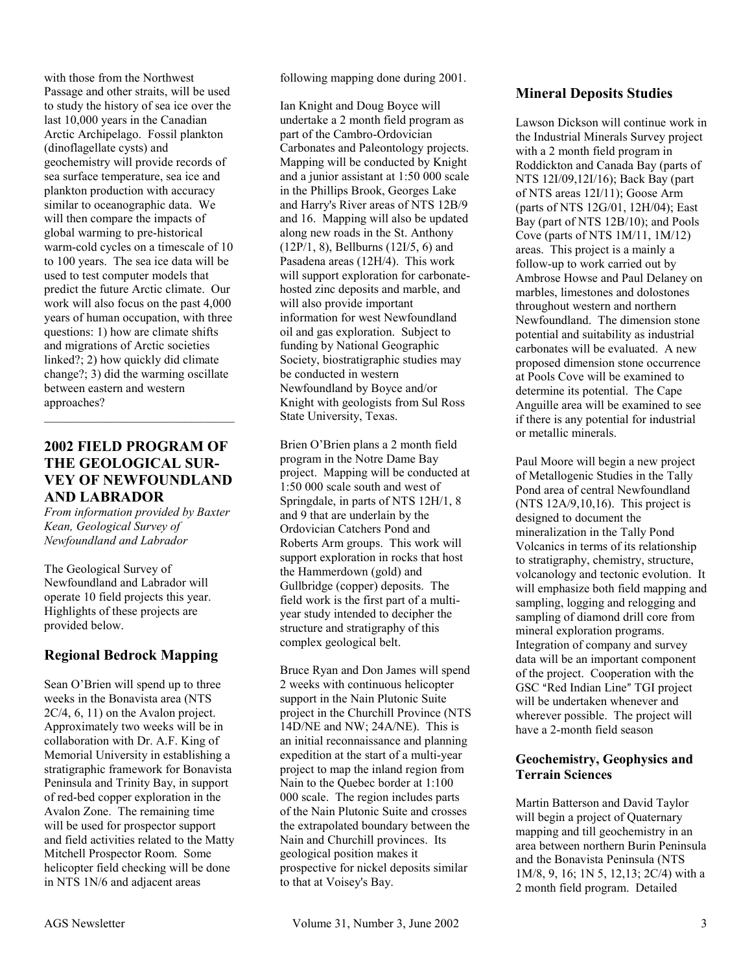with those from the Northwest Passage and other straits, will be used to study the history of sea ice over the last 10,000 years in the Canadian Arctic Archipelago. Fossil plankton (dinoflagellate cysts) and geochemistry will provide records of sea surface temperature, sea ice and plankton production with accuracy similar to oceanographic data. We will then compare the impacts of global warming to pre-historical warm-cold cycles on a timescale of 10 to 100 years. The sea ice data will be used to test computer models that predict the future Arctic climate. Our work will also focus on the past 4,000 years of human occupation, with three questions: 1) how are climate shifts and migrations of Arctic societies linked?; 2) how quickly did climate change?; 3) did the warming oscillate between eastern and western approaches?

# **2002 FIELD PROGRAM OF THE GEOLOGICAL SUR-VEY OF NEWFOUNDLAND AND LABRADOR**

*From information provided by Baxter Kean, Geological Survey of Newfoundland and Labrador* 

The Geological Survey of Newfoundland and Labrador will operate 10 field projects this year. Highlights of these projects are provided below.

# **Regional Bedrock Mapping**

Sean O'Brien will spend up to three weeks in the Bonavista area (NTS 2C/4, 6, 11) on the Avalon project. Approximately two weeks will be in collaboration with Dr. A.F. King of Memorial University in establishing a stratigraphic framework for Bonavista Peninsula and Trinity Bay, in support of red-bed copper exploration in the Avalon Zone. The remaining time will be used for prospector support and field activities related to the Matty Mitchell Prospector Room. Some helicopter field checking will be done in NTS 1N/6 and adjacent areas

following mapping done during 2001.

Ian Knight and Doug Boyce will undertake a 2 month field program as part of the Cambro-Ordovician Carbonates and Paleontology projects. Mapping will be conducted by Knight and a junior assistant at 1:50 000 scale in the Phillips Brook, Georges Lake and Harry's River areas of NTS 12B/9 and 16. Mapping will also be updated along new roads in the St. Anthony (12P/1, 8), Bellburns (12I/5, 6) and Pasadena areas (12H/4). This work will support exploration for carbonatehosted zinc deposits and marble, and will also provide important information for west Newfoundland oil and gas exploration. Subject to funding by National Geographic Society, biostratigraphic studies may be conducted in western Newfoundland by Boyce and/or Knight with geologists from Sul Ross State University, Texas.

Brien O'Brien plans a 2 month field program in the Notre Dame Bay project. Mapping will be conducted at 1:50 000 scale south and west of Springdale, in parts of NTS 12H/1, 8 and 9 that are underlain by the Ordovician Catchers Pond and Roberts Arm groups. This work will support exploration in rocks that host the Hammerdown (gold) and Gullbridge (copper) deposits. The field work is the first part of a multiyear study intended to decipher the structure and stratigraphy of this complex geological belt.

Bruce Ryan and Don James will spend 2 weeks with continuous helicopter support in the Nain Plutonic Suite project in the Churchill Province (NTS 14D/NE and NW; 24A/NE). This is an initial reconnaissance and planning expedition at the start of a multi-year project to map the inland region from Nain to the Quebec border at 1:100 000 scale. The region includes parts of the Nain Plutonic Suite and crosses the extrapolated boundary between the Nain and Churchill provinces. Its geological position makes it prospective for nickel deposits similar to that at Voisey's Bay.

# **Mineral Deposits Studies**

Lawson Dickson will continue work in the Industrial Minerals Survey project with a 2 month field program in Roddickton and Canada Bay (parts of NTS 12I/09,12I/16); Back Bay (part of NTS areas 12I/11); Goose Arm (parts of NTS 12G/01, 12H/04); East Bay (part of NTS 12B/10); and Pools Cove (parts of NTS 1M/11, 1M/12) areas. This project is a mainly a follow-up to work carried out by Ambrose Howse and Paul Delaney on marbles, limestones and dolostones throughout western and northern Newfoundland. The dimension stone potential and suitability as industrial carbonates will be evaluated. A new proposed dimension stone occurrence at Pools Cove will be examined to determine its potential. The Cape Anguille area will be examined to see if there is any potential for industrial or metallic minerals.

Paul Moore will begin a new project of Metallogenic Studies in the Tally Pond area of central Newfoundland (NTS 12A/9,10,16). This project is designed to document the mineralization in the Tally Pond Volcanics in terms of its relationship to stratigraphy, chemistry, structure, volcanology and tectonic evolution. It will emphasize both field mapping and sampling, logging and relogging and sampling of diamond drill core from mineral exploration programs. Integration of company and survey data will be an important component of the project. Cooperation with the GSC "Red Indian Line" TGI project will be undertaken whenever and wherever possible. The project will have a 2-month field season

## **Geochemistry, Geophysics and Terrain Sciences**

Martin Batterson and David Taylor will begin a project of Quaternary mapping and till geochemistry in an area between northern Burin Peninsula and the Bonavista Peninsula (NTS 1M/8, 9, 16; 1N 5, 12,13; 2C/4) with a 2 month field program. Detailed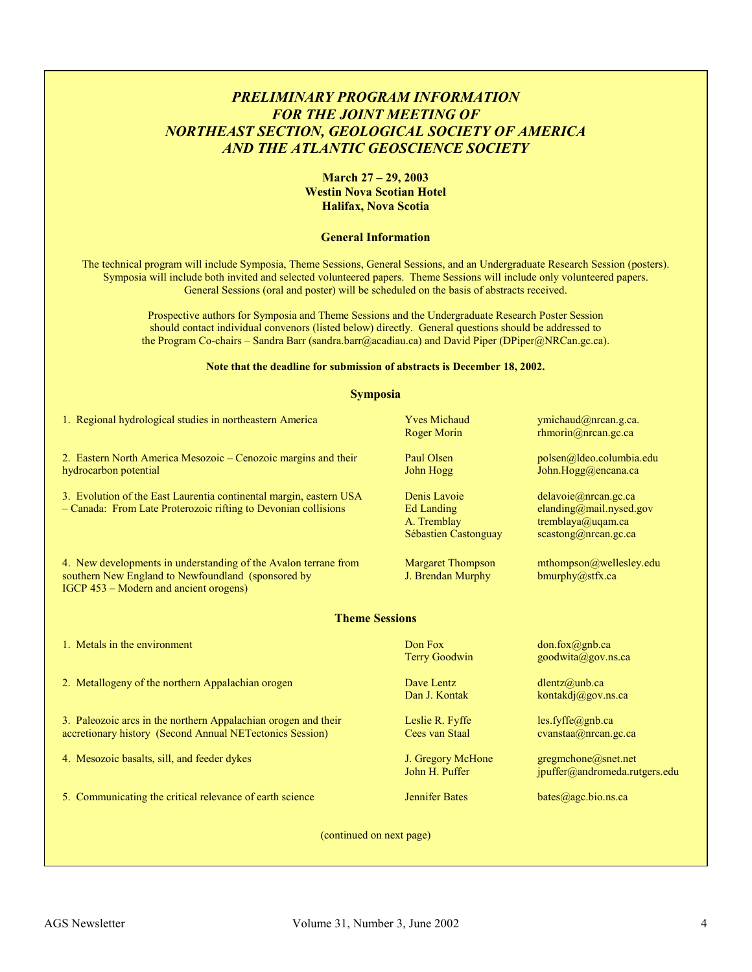# *PRELIMINARY PROGRAM INFORMATION FOR THE JOINT MEETING OF NORTHEAST SECTION, GEOLOGICAL SOCIETY OF AMERICA AND THE ATLANTIC GEOSCIENCE SOCIETY*

#### **March 27 – 29, 2003 Westin Nova Scotian Hotel Halifax, Nova Scotia**

#### **General Information**

The technical program will include Symposia, Theme Sessions, General Sessions, and an Undergraduate Research Session (posters). Symposia will include both invited and selected volunteered papers. Theme Sessions will include only volunteered papers. General Sessions (oral and poster) will be scheduled on the basis of abstracts received.

Prospective authors for Symposia and Theme Sessions and the Undergraduate Research Poster Session should contact individual convenors (listed below) directly. General questions should be addressed to the Program Co-chairs – Sandra Barr (sandra.barr@acadiau.ca) and David Piper (DPiper@NRCan.gc.ca).

#### **Note that the deadline for submission of abstracts is December 18, 2002.**

| <b>Symposia</b>                                                                                                                                                 |                                                                          |                                                                                              |  |  |
|-----------------------------------------------------------------------------------------------------------------------------------------------------------------|--------------------------------------------------------------------------|----------------------------------------------------------------------------------------------|--|--|
| 1. Regional hydrological studies in northeastern America                                                                                                        | <b>Yves Michaud</b><br><b>Roger Morin</b>                                | ymichaud@nrcan.g.ca.<br>$r$ hmorin@nrcan.gc.ca                                               |  |  |
| 2. Eastern North America Mesozoic – Cenozoic margins and their<br>hydrocarbon potential                                                                         | Paul Olsen<br>John Hogg                                                  | polsen@ldeo.columbia.edu<br>John.Hogg@encana.ca                                              |  |  |
| 3. Evolution of the East Laurentia continental margin, eastern USA<br>- Canada: From Late Proterozoic rifting to Devonian collisions                            | Denis Lavoie<br><b>Ed Landing</b><br>A. Tremblay<br>Sébastien Castonguay | delavoie@nrcan.gc.ca<br>elanding@mail.nysed.gov<br>tremblaya@uqam.ca<br>scastong@nrcan.gc.ca |  |  |
| 4. New developments in understanding of the Avalon terrane from<br>southern New England to Newfoundland (sponsored by<br>IGCP 453 – Modern and ancient orogens) | <b>Margaret Thompson</b><br>J. Brendan Murphy                            | mthompson@wellesley.edu<br>bmurphy@stfx.ca                                                   |  |  |
| <b>Theme Sessions</b>                                                                                                                                           |                                                                          |                                                                                              |  |  |
| 1. Metals in the environment                                                                                                                                    | Don Fox<br><b>Terry Goodwin</b>                                          | don.fox@gnb.ca<br>goodwita@gov.ns.ca                                                         |  |  |
| 2. Metallogeny of the northern Appalachian orogen                                                                                                               | Dave Lentz<br>Dan J. Kontak                                              | $d$ lentz@unb.ca<br>kontakdj@gov.ns.ca                                                       |  |  |
| 3. Paleozoic arcs in the northern Appalachian orogen and their<br>accretionary history (Second Annual NETectonics Session)                                      | Leslie R. Fyffe<br>Cees van Staal                                        | $les.fyffe$ @gnb.ca<br>cvanstaa@nrcan.gc.ca                                                  |  |  |
| 4. Mesozoic basalts, sill, and feeder dykes                                                                                                                     | J. Gregory McHone<br>John H. Puffer                                      | gregmchone@snet.net<br>jpuffer@andromeda.rutgers.edu                                         |  |  |
| 5. Communicating the critical relevance of earth science                                                                                                        | <b>Jennifer Bates</b>                                                    | bates@agc.bio.ns.ca                                                                          |  |  |
| (continued on next page)                                                                                                                                        |                                                                          |                                                                                              |  |  |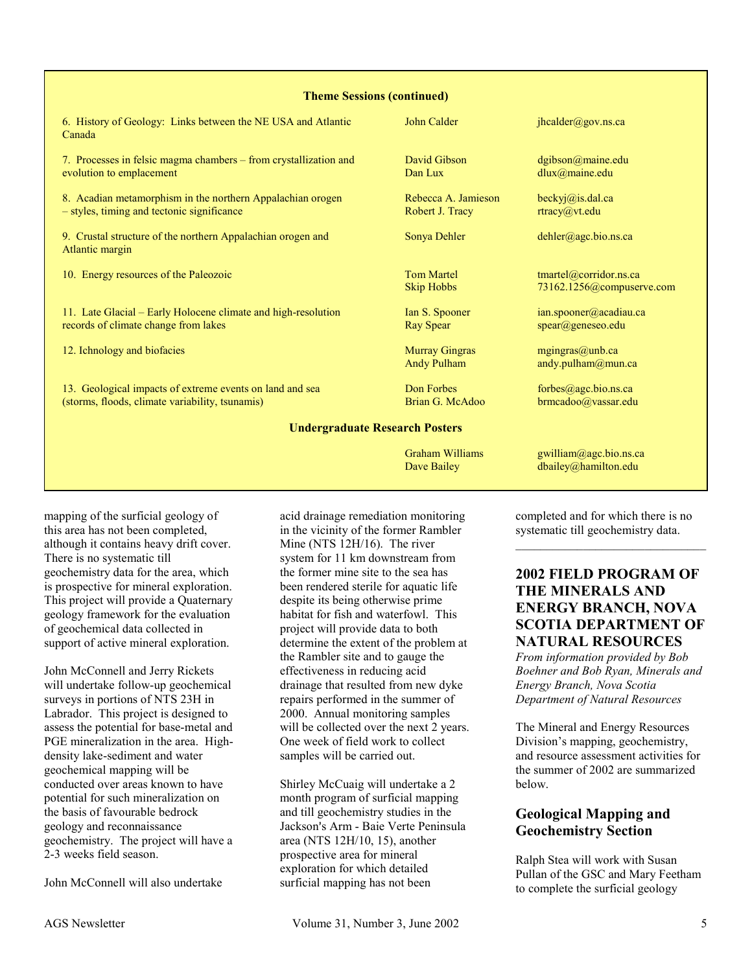#### **Theme Sessions (continued)**

| 6. History of Geology: Links between the NE USA and Atlantic<br>Canada                                      | John Calder                                 | jhcalder@gov.ns.ca                                               |  |
|-------------------------------------------------------------------------------------------------------------|---------------------------------------------|------------------------------------------------------------------|--|
| 7. Processes in felsic magma chambers - from crystallization and<br>evolution to emplacement                | David Gibson<br>Dan Lux                     | dgibson@maine.edu<br>dlux@maine.edu                              |  |
| 8. Acadian metamorphism in the northern Appalachian orogen<br>- styles, timing and tectonic significance    | Rebecca A. Jamieson<br>Robert J. Tracy      | beckyj@is.dal.ca<br>rtracy@vt.edu                                |  |
| 9. Crustal structure of the northern Appalachian orogen and<br>Atlantic margin                              | Sonya Dehler                                | $dehler(\omega)$ agc.bio.ns.ca                                   |  |
| 10. Energy resources of the Paleozoic                                                                       | <b>Tom Martel</b><br><b>Skip Hobbs</b>      | $t$ martel@corridor.ns.ca<br>73162.1256@compuserve.com           |  |
| 11. Late Glacial – Early Holocene climate and high-resolution<br>records of climate change from lakes       | Ian S. Spooner<br>Ray Spear                 | ian.spooner@acadiau.ca<br>$\text{spec}(\widehat{a})$ geneseo.edu |  |
| 12. Ichnology and biofacies                                                                                 | <b>Murray Gingras</b><br><b>Andy Pulham</b> | mgingras@unb.ca<br>andy.pulham@mun.ca                            |  |
| 13. Geological impacts of extreme events on land and sea<br>(storms, floods, climate variability, tsunamis) | Don Forbes<br>Brian G. McAdoo               | forbes@agc.bio.ns.ca<br>brmcadoo@vassar.edu                      |  |
| <b>Undergraduate Research Posters</b>                                                                       |                                             |                                                                  |  |
|                                                                                                             | <b>Graham Williams</b><br>Dave Bailey       | gwilliam@agc.bio.ns.ca<br>dbailey@hamilton.edu                   |  |

mapping of the surficial geology of this area has not been completed, although it contains heavy drift cover. There is no systematic till geochemistry data for the area, which is prospective for mineral exploration. This project will provide a Quaternary geology framework for the evaluation of geochemical data collected in support of active mineral exploration.

John McConnell and Jerry Rickets will undertake follow-up geochemical surveys in portions of NTS 23H in Labrador. This project is designed to assess the potential for base-metal and PGE mineralization in the area. Highdensity lake-sediment and water geochemical mapping will be conducted over areas known to have potential for such mineralization on the basis of favourable bedrock geology and reconnaissance geochemistry. The project will have a 2-3 weeks field season.

John McConnell will also undertake

acid drainage remediation monitoring in the vicinity of the former Rambler Mine (NTS 12H/16). The river system for 11 km downstream from the former mine site to the sea has been rendered sterile for aquatic life despite its being otherwise prime habitat for fish and waterfowl. This project will provide data to both determine the extent of the problem at the Rambler site and to gauge the effectiveness in reducing acid drainage that resulted from new dyke repairs performed in the summer of 2000. Annual monitoring samples will be collected over the next 2 years. One week of field work to collect samples will be carried out.

Shirley McCuaig will undertake a 2 month program of surficial mapping and till geochemistry studies in the Jackson's Arm - Baie Verte Peninsula area (NTS 12H/10, 15), another prospective area for mineral exploration for which detailed surficial mapping has not been

completed and for which there is no systematic till geochemistry data.

# **2002 FIELD PROGRAM OF THE MINERALS AND ENERGY BRANCH, NOVA SCOTIA DEPARTMENT OF NATURAL RESOURCES**

*From information provided by Bob Boehner and Bob Ryan, Minerals and Energy Branch, Nova Scotia Department of Natural Resources* 

The Mineral and Energy Resources Division's mapping, geochemistry, and resource assessment activities for the summer of 2002 are summarized below.

# **Geological Mapping and Geochemistry Section**

Ralph Stea will work with Susan Pullan of the GSC and Mary Feetham to complete the surficial geology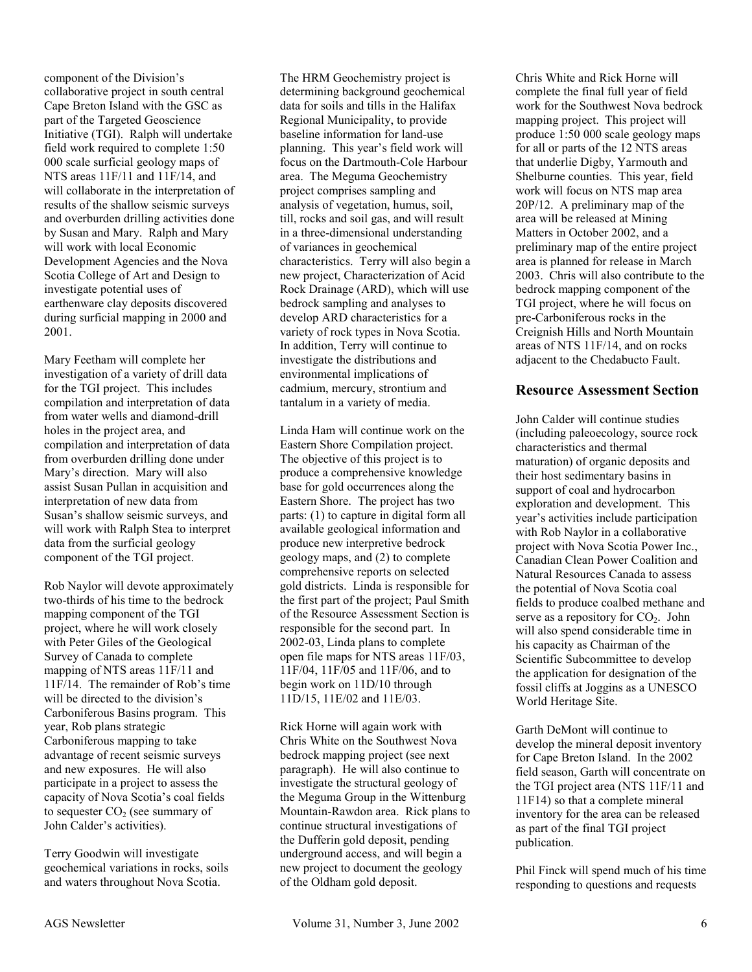component of the Division's collaborative project in south central Cape Breton Island with the GSC as part of the Targeted Geoscience Initiative (TGI). Ralph will undertake field work required to complete 1:50 000 scale surficial geology maps of NTS areas 11F/11 and 11F/14, and will collaborate in the interpretation of results of the shallow seismic surveys and overburden drilling activities done by Susan and Mary. Ralph and Mary will work with local Economic Development Agencies and the Nova Scotia College of Art and Design to investigate potential uses of earthenware clay deposits discovered during surficial mapping in 2000 and 2001.

Mary Feetham will complete her investigation of a variety of drill data for the TGI project. This includes compilation and interpretation of data from water wells and diamond-drill holes in the project area, and compilation and interpretation of data from overburden drilling done under Mary's direction. Mary will also assist Susan Pullan in acquisition and interpretation of new data from Susan's shallow seismic surveys, and will work with Ralph Stea to interpret data from the surficial geology component of the TGI project.

Rob Naylor will devote approximately two-thirds of his time to the bedrock mapping component of the TGI project, where he will work closely with Peter Giles of the Geological Survey of Canada to complete mapping of NTS areas 11F/11 and 11F/14. The remainder of Rob's time will be directed to the division's Carboniferous Basins program. This year, Rob plans strategic Carboniferous mapping to take advantage of recent seismic surveys and new exposures. He will also participate in a project to assess the capacity of Nova Scotia's coal fields to sequester  $CO<sub>2</sub>$  (see summary of John Calder's activities).

Terry Goodwin will investigate geochemical variations in rocks, soils and waters throughout Nova Scotia.

The HRM Geochemistry project is determining background geochemical data for soils and tills in the Halifax Regional Municipality, to provide baseline information for land-use planning. This year's field work will focus on the Dartmouth-Cole Harbour area. The Meguma Geochemistry project comprises sampling and analysis of vegetation, humus, soil, till, rocks and soil gas, and will result in a three-dimensional understanding of variances in geochemical characteristics. Terry will also begin a new project, Characterization of Acid Rock Drainage (ARD), which will use bedrock sampling and analyses to develop ARD characteristics for a variety of rock types in Nova Scotia. In addition, Terry will continue to investigate the distributions and environmental implications of cadmium, mercury, strontium and tantalum in a variety of media.

Linda Ham will continue work on the Eastern Shore Compilation project. The objective of this project is to produce a comprehensive knowledge base for gold occurrences along the Eastern Shore. The project has two parts: (1) to capture in digital form all available geological information and produce new interpretive bedrock geology maps, and (2) to complete comprehensive reports on selected gold districts. Linda is responsible for the first part of the project; Paul Smith of the Resource Assessment Section is responsible for the second part. In 2002-03, Linda plans to complete open file maps for NTS areas 11F/03, 11F/04, 11F/05 and 11F/06, and to begin work on 11D/10 through 11D/15, 11E/02 and 11E/03.

Rick Horne will again work with Chris White on the Southwest Nova bedrock mapping project (see next paragraph). He will also continue to investigate the structural geology of the Meguma Group in the Wittenburg Mountain-Rawdon area. Rick plans to continue structural investigations of the Dufferin gold deposit, pending underground access, and will begin a new project to document the geology of the Oldham gold deposit.

Chris White and Rick Horne will complete the final full year of field work for the Southwest Nova bedrock mapping project. This project will produce 1:50 000 scale geology maps for all or parts of the 12 NTS areas that underlie Digby, Yarmouth and Shelburne counties. This year, field work will focus on NTS map area 20P/12. A preliminary map of the area will be released at Mining Matters in October 2002, and a preliminary map of the entire project area is planned for release in March 2003. Chris will also contribute to the bedrock mapping component of the TGI project, where he will focus on pre-Carboniferous rocks in the Creignish Hills and North Mountain areas of NTS 11F/14, and on rocks adjacent to the Chedabucto Fault.

# **Resource Assessment Section**

John Calder will continue studies (including paleoecology, source rock characteristics and thermal maturation) of organic deposits and their host sedimentary basins in support of coal and hydrocarbon exploration and development. This year's activities include participation with Rob Naylor in a collaborative project with Nova Scotia Power Inc., Canadian Clean Power Coalition and Natural Resources Canada to assess the potential of Nova Scotia coal fields to produce coalbed methane and serve as a repository for  $CO<sub>2</sub>$ . John will also spend considerable time in his capacity as Chairman of the Scientific Subcommittee to develop the application for designation of the fossil cliffs at Joggins as a UNESCO World Heritage Site.

Garth DeMont will continue to develop the mineral deposit inventory for Cape Breton Island. In the 2002 field season, Garth will concentrate on the TGI project area (NTS 11F/11 and 11F14) so that a complete mineral inventory for the area can be released as part of the final TGI project publication.

Phil Finck will spend much of his time responding to questions and requests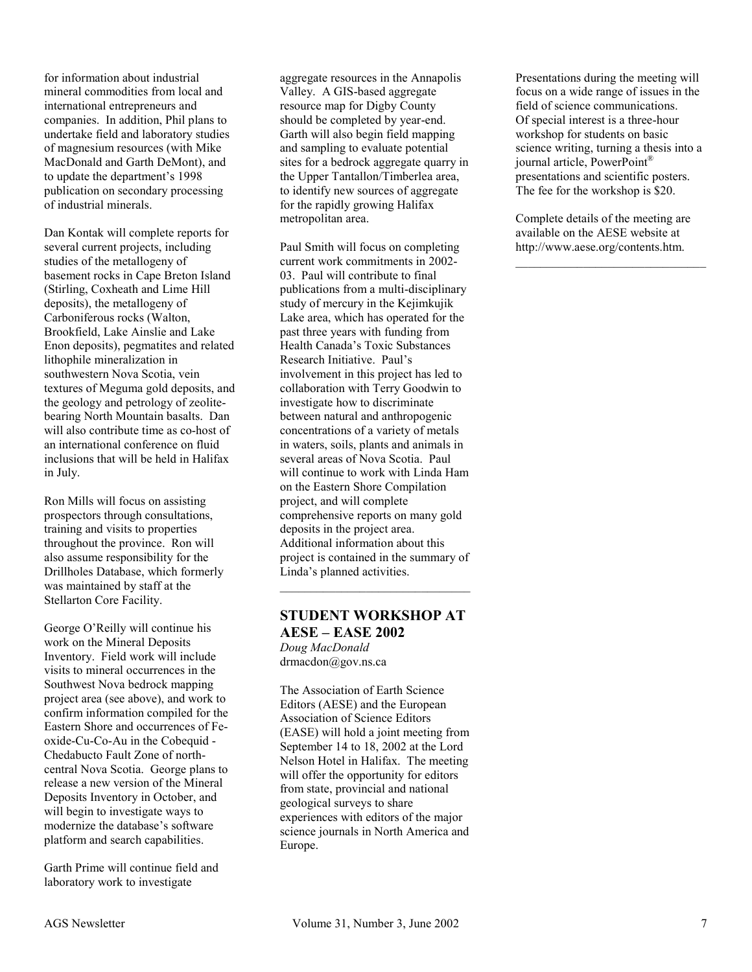for information about industrial mineral commodities from local and international entrepreneurs and companies. In addition, Phil plans to undertake field and laboratory studies of magnesium resources (with Mike MacDonald and Garth DeMont), and to update the department's 1998 publication on secondary processing of industrial minerals.

Dan Kontak will complete reports for several current projects, including studies of the metallogeny of basement rocks in Cape Breton Island (Stirling, Coxheath and Lime Hill deposits), the metallogeny of Carboniferous rocks (Walton, Brookfield, Lake Ainslie and Lake Enon deposits), pegmatites and related lithophile mineralization in southwestern Nova Scotia, vein textures of Meguma gold deposits, and the geology and petrology of zeolitebearing North Mountain basalts. Dan will also contribute time as co-host of an international conference on fluid inclusions that will be held in Halifax in July.

Ron Mills will focus on assisting prospectors through consultations, training and visits to properties throughout the province. Ron will also assume responsibility for the Drillholes Database, which formerly was maintained by staff at the Stellarton Core Facility.

George O'Reilly will continue his work on the Mineral Deposits Inventory. Field work will include visits to mineral occurrences in the Southwest Nova bedrock mapping project area (see above), and work to confirm information compiled for the Eastern Shore and occurrences of Feoxide-Cu-Co-Au in the Cobequid - Chedabucto Fault Zone of northcentral Nova Scotia. George plans to release a new version of the Mineral Deposits Inventory in October, and will begin to investigate ways to modernize the database's software platform and search capabilities.

Garth Prime will continue field and laboratory work to investigate

aggregate resources in the Annapolis Valley. A GIS-based aggregate resource map for Digby County should be completed by year-end. Garth will also begin field mapping and sampling to evaluate potential sites for a bedrock aggregate quarry in the Upper Tantallon/Timberlea area, to identify new sources of aggregate for the rapidly growing Halifax metropolitan area.

Paul Smith will focus on completing current work commitments in 2002- 03. Paul will contribute to final publications from a multi-disciplinary study of mercury in the Kejimkujik Lake area, which has operated for the past three years with funding from Health Canada's Toxic Substances Research Initiative. Paul's involvement in this project has led to collaboration with Terry Goodwin to investigate how to discriminate between natural and anthropogenic concentrations of a variety of metals in waters, soils, plants and animals in several areas of Nova Scotia. Paul will continue to work with Linda Ham on the Eastern Shore Compilation project, and will complete comprehensive reports on many gold deposits in the project area. Additional information about this project is contained in the summary of Linda's planned activities.

#### **STUDENT WORKSHOP AT AESE – EASE 2002** *Doug MacDonald*

drmacdon@gov.ns.ca

The Association of Earth Science Editors (AESE) and the European Association of Science Editors (EASE) will hold a joint meeting from September 14 to 18, 2002 at the Lord Nelson Hotel in Halifax. The meeting will offer the opportunity for editors from state, provincial and national geological surveys to share experiences with editors of the major science journals in North America and Europe.

Presentations during the meeting will focus on a wide range of issues in the field of science communications. Of special interest is a three-hour workshop for students on basic science writing, turning a thesis into a journal article, PowerPoint® presentations and scientific posters. The fee for the workshop is \$20.

Complete details of the meeting are available on the AESE website at http://www.aese.org/contents.htm.

\_\_\_\_\_\_\_\_\_\_\_\_\_\_\_\_\_\_\_\_\_\_\_\_\_\_\_\_\_\_\_